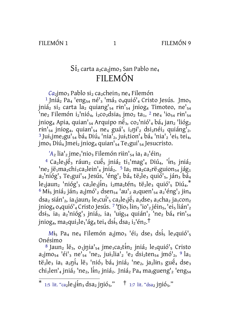FILEMÓN 1

 $\mathbf{1}$ 

FILEMÓN 9

## $Si<sub>2</sub>$  carta a<sub>2</sub>ca<sub>2</sub>jmo<sub>3</sub> San Pablo ne<sub>4</sub> FILEMÓN

Ca<sub>2</sub>jmo<sub>3</sub> Pablo si<sub>2</sub> ca<sub>2</sub>chein<sub>3</sub> ne<sub>4</sub> Filemón

<sup>1</sup> Jniá<sub>2</sub> Pa<sub>4</sub> 'eng<sub>54</sub> né'<sub>3</sub> 'má<sub>3</sub> 0<sub>4</sub>quió'<sub>4</sub> Cristo Jesús. Jmo<sub>5</sub> jniá<sub>2</sub> si<sub>2</sub> carta la<sub>2</sub> quiang<sup>1</sup><sub>54</sub> rin<sup>1</sup><sub>54</sub> jniog<sub>4</sub> Timoteo, ne<sup>1</sup><sub>54</sub> 'ne<sub>2</sub> Filemón i<sub>2</sub>'nió<sub>4</sub>, i<sub>2</sub>co<sub>2</sub>dsia<sub>5</sub> jmo<sub>2</sub> ta<sub>1</sub>, <sup>2</sup> ne<sub>4</sub> 'io<sub>54</sub> rin'<sub>54</sub> jniog<sub>4</sub> Apia, quian'<sub>54</sub> Arquipo në<sub>3</sub>, co<sub>2</sub>'nió'<sub>4</sub> bá<sub>4</sub> jan<sub>2</sub> 'lióg<sub>2</sub>  $\text{rin'}_{54}$  jniog<sub>4</sub>, quian'<sub>54</sub> ne<sub>4</sub> guá'<sub>5</sub> i<sub>2</sub>ni'<sub>2</sub> dsi<sub>2</sub>néi<sub>2</sub> quiáng'<sub>2</sub>. <sup>3</sup> Jui<sub>1</sub>jme<sub>2</sub>gu'<sub>54</sub> bá<sub>4</sub> Diú<sub>4</sub> 'nia'<sub>2</sub>, jui<sub>1</sub>tion'<sub>4</sub> bá<sub>4</sub> 'nia'<sub>2</sub> 'ei<sub>5</sub> tei<sub>4</sub>, jmo<sub>5</sub> Diú<sub>4</sub> Jmei<sub>2</sub> jniog<sub>4</sub> quian'<sub>54</sub> Te<sub>1</sub>gui'<sub>54</sub> Jesucristo.

 $'A_2$  lia $'_2$  jme<sub>1</sub>'nio<sub>3</sub> Filemón riin'<sub>54</sub> ia<sub>1</sub> a<sub>2</sub>'éin<sub>2</sub>

<sup>4</sup> Ca<sub>2</sub>le<sub>3</sub>jé<sub>3</sub> ráun<sub>2</sub> cué<sub>5</sub> jniá<sub>2</sub> ti<sub>1</sub>'mag'<sub>4</sub> Diú<sub>4</sub>, 'in<sub>5</sub> jniá<sub>2</sub> 'ne<sub>2</sub> jë<sub>1</sub>ma<sub>2</sub>chi<sub>1</sub>ca<sub>2</sub>lein'<sub>4</sub> jniá<sub>2</sub>. <sup>5</sup> Ia<sub>1</sub> ma<sub>2</sub>ca<sub>2</sub>rë<sub>3</sub>guion<sub>54</sub> jág<sub>1</sub> a2'nióg'3 Te1gui'54 Jesús, 'éng'2 bá4 të2le3 quió'5, ján3 bá4  $le_2$ jaun<sub>2</sub> 'nióg'<sub>3</sub> ca<sub>2</sub>le<sub>3</sub>jin<sub>3</sub> i<sub>2</sub>ma<sub>2</sub>tén<sub>5</sub> të<sub>2</sub>le<sub>3</sub> quió'<sub>5</sub> Diú<sub>4</sub>.\* <sup>6</sup> Mi<sub>5</sub> jniá<sub>2</sub> ján<sub>3</sub> a<sub>2</sub>jmó'<sub>2</sub> dsen<sub>54</sub> 'au'<sub>2</sub> a<sub>2</sub>quen'<sub>54</sub> a<sub>2</sub>'éng'<sub>2</sub> jin<sub>4</sub>  $ds$ a<sub>2</sub> sián'<sub>2</sub>, ia<sub>1</sub> jaun<sub>2</sub> le<sub>3</sub>cui<sup>1</sup><sub>5</sub> ca<sub>2</sub> le<sub>3</sub> je 3 a<sub>2</sub>dse<sub>3</sub> a<sub>2</sub>cha<sub>2</sub> ja<sub>1</sub> con<sub>2</sub> jniog<sub>4</sub> 0<sub>4</sub>quió<sup>1</sup><sub>4</sub> Cristo Jesús. <sup>7</sup> 'Dio<sub>5</sub> lin<sub>3</sub> 'io'<sub>2</sub> jéin<sub>5</sub>, 'ei<sub>5</sub> lián'<sub>2</sub> dsi<sub>3</sub>, ia<sub>1</sub> a<sub>2</sub>'nióg'<sub>3</sub> jniá<sub>2</sub>, ia<sub>1</sub> 'uig<sub>54</sub> quián'<sub>2</sub> 'ne<sub>2</sub> bá<sub>4</sub> rin'<sub>54</sub> jniog<sub>4</sub>, ma<sub>2</sub>qui<sub>2</sub>le<sub>1</sub>'ág<sub>4</sub> tei<sub>4</sub> dsi<sub>5</sub> dsa<sub>2</sub> i<sub>2</sub>'én<sub>2</sub>.<sup>†</sup>

 $M_{5}$  Pa<sub>4</sub> ne<sub>4</sub> Filemón a<sub>2</sub>jmo<sub>3</sub> 'éi<sub>2</sub> dse<sub>3</sub> dsi<sub>5</sub> le<sub>3</sub>quió'<sub>5</sub> Onésimo

<sup>8</sup> Jaun<sub>2</sub> lë<sub>3</sub>, o<sub>1</sub>jnia'<sub>54</sub> jme<sub>1</sub>ca<sub>2</sub>tin<sub>2</sub> jniá<sub>2</sub> le<sub>3</sub>quió'<sub>5</sub> Cristo  $a_2$ jmo<sub>54</sub> 'éi'<sub>3</sub> ne'<sub>54</sub> 'ne<sub>2</sub>, jui<sub>1</sub>lia'<sub>2</sub> 'e<sub>2</sub> dsi<sub>2</sub>ten<sub>54</sub> jmó'<sub>2</sub>, <sup>9</sup> la<sub>1</sub> të<sub>2</sub>le<sub>3</sub> ia<sub>1</sub> a<sub>2</sub>ni<sup>2</sup>4 lë<sub>3</sub> 'nió<sub>3</sub> bá<sub>4</sub> jniá<sub>2</sub> 'ne<sub>2</sub>, ja<sub>2</sub>lin<sub>3</sub> guë<sub>4</sub> dse<sub>3</sub>  $chi_2$ len'<sub>4</sub> jniá<sub>2</sub> 'ne<sub>2</sub>, lin<sub>2</sub> jniá<sub>2</sub>. Jniá<sub>2</sub> Pa<sub>4</sub> ma<sub>2</sub>gueng'<sub>2</sub> 'eng<sub>54</sub>

<sup>\* 1:5</sup> lit. "ca2le3 $\lim_{x \to a} ds$   $\lim_{x \to a} ds$   $\lim_{x \to a}$  in  $\lim_{x \to a}$  in  $\lim_{x \to a}$  in  $\lim_{x \to a}$  in  $\lim_{x \to a}$  in  $\lim_{x \to a}$  in  $\lim_{x \to a}$  in  $\lim_{x \to a}$  in  $\lim_{x \to a}$  in  $\lim_{x \to a}$  in  $\lim_{x \to a}$  in  $\lim_{x \to a}$  in  $\lim_{x \to a}$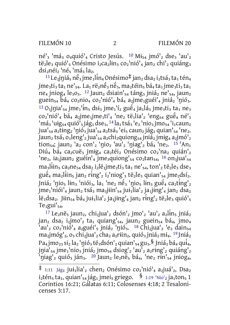## FILEMÓN 10

 $\overline{2}$ 

FILEMÓN 20

né'<sub>3</sub> 'má<sub>3</sub> 0<sub>4</sub>quió'<sub>4</sub> Cristo Jesús. <sup>10</sup> Mi<sub>54</sub> jmó'<sub>2</sub> dse<sub>3</sub> 'au'<sub>2</sub>  $t\ddot{e}_2$ le<sub>3</sub> quió'<sub>5</sub> Onésimo i<sub>2</sub>ca<sub>2</sub>lin<sub>3</sub> co<sub>2</sub>'nió'<sub>4</sub> jan<sub>2</sub> chi'<sub>2</sub> quiáng<sub>3</sub> dsi<sub>2</sub>néi<sub>2</sub> 'né<sub>5</sub> 'má<sub>3</sub> la<sub>2</sub>.

 $11$ Le<sub>2</sub>jniá<sub>5</sub> né<sub>3</sub> jme<sub>1</sub>lin<sub>4</sub> Onésimo‡ jan<sub>2</sub> dsa<sub>2</sub> i<sub>2</sub>tsá<sub>3</sub> ta<sub>1</sub> tén<sub>4</sub> jme<sub>3</sub>ti<sub>3</sub> ta<sub>1</sub> ne<sup>1</sup><sub>54</sub>. La<sub>1</sub> rë<sub>2</sub>në<sub>3</sub> në<sub>3</sub>, ma<sub>2</sub>téin<sub>5</sub> bá<sub>4</sub> ta<sub>1</sub> jme<sub>3</sub>ti<sub>3</sub> ta<sub>1</sub> ne<sub>4</sub> jniog<sub>4</sub> le<sub>3</sub>0<sub>3</sub>. <sup>12</sup> Jaun<sub>2</sub> dsiain'<sub>54</sub> táng<sub>3</sub> jniá<sub>2</sub> ne'<sub>54</sub>, jaun<sub>2</sub> guein<sub>54</sub> bá<sub>4</sub> co<sub>2</sub>nio<sub>4</sub> co<sub>2</sub>'nió'<sub>4</sub> bá<sub>4</sub> a<sub>2</sub>jme<sub>1</sub>guéi'<sub>4</sub> jniá<sub>2</sub> 'nió<sub>3</sub>.  $^{13}$  O<sub>1</sub>jnia'<sub>54</sub> jme<sub>1</sub>'in<sub>5</sub> dsi<sub>3</sub> jme<sub>1</sub>'i<sub>2</sub> guė<sup>2</sup><sub>4</sub> ja<sub>1</sub>lá<sub>3</sub> jme<sub>3</sub>ti<sub>3</sub> ta<sub>1</sub> ne<sub>3</sub> co<sub>2</sub>'nió'<sub>4</sub> bá<sub>4</sub> a<sub>2</sub>jme<sub>1</sub>jme<sub>1</sub>ti'<sub>4</sub> 'ne<sub>2</sub> të<sub>1</sub>lia'<sub>2</sub> 'eng<sub>54</sub> guë<sub>4</sub> né'<sub>3</sub> 'má<sub>3</sub> 'uig<sub>54</sub> quió<sup>i</sup><sub>5</sub> jág<sub>1</sub> dse<sub>3</sub>, <sup>14</sup> la<sub>1</sub> tsá<sub>3</sub> 'e<sub>2</sub> 'nio<sub>3</sub> jmo<sub>54</sub> 'i<sub>1</sub> caun<sub>2</sub> jua'<sub>54</sub> a<sub>2</sub>ting<sub>2</sub> 'nió<sub>3</sub> jua'<sub>54</sub> a<sub>2</sub>tsá<sub>3</sub> 'ei<sub>5</sub> caun<sub>2</sub> jág<sub>1</sub> quian'<sub>54</sub> 'ne<sub>2</sub>. Jaun<sub>2</sub> tsá<sub>3</sub> 0<sub>1</sub> leng<sup>1</sup><sub>2</sub> jua<sup>1</sup><sub>54</sub> a<sub>2</sub> chi<sub>2</sub> quiong<sub>54</sub> jniá<sub>2</sub> jmig<sub>4</sub> a<sub>2</sub> jmó<sup>1</sup><sub>2</sub> tion<sub>54</sub>; jaun<sub>2</sub> 'a<sub>2</sub> con'<sub>2</sub> 'nio<sub>2</sub> 'au'<sub>2</sub> 'niag'<sub>2</sub> bá<sub>4</sub> 'ne<sub>2</sub>. <sup>15</sup> 'An<sub>1</sub> Diú<sub>4</sub> bá<sub>4</sub> ca<sub>2</sub>cuë<sub>3</sub> jmig<sub>4</sub> ca<sub>2</sub>téi<sub>2</sub> Onésimo co<sub>2</sub>'na<sub>2</sub> quián'<sub>2</sub> 'ne<sub>2</sub>, ia<sub>1</sub>jaun<sub>2</sub> guéin'<sub>4</sub> jme<sub>3</sub>quiong'<sub>54</sub> co<sub>2</sub>tan<sub>54</sub>, <sup>16</sup> on<sub>3</sub>jua'<sub>54</sub>  $\text{maj}$ iin<sub>5</sub> ca<sub>2</sub>ne<sub>54</sub> dsa<sub>2</sub> i<sub>2</sub>lë<sub>1</sub>jme<sub>2</sub>ti<sub>3</sub> ta<sub>1</sub> ne'<sub>54</sub>, ton'<sub>2</sub> të<sub>2</sub>le<sub>3</sub> dse<sub>3</sub> guė̃<sub>4</sub> ma<sub>2</sub>lin<sub>5</sub> jan<sub>2</sub> ring'<sub>2</sub> i<sub>2</sub>'niog'<sub>3</sub> tė̃<sub>2</sub>le<sub>3</sub> quian'<sub>54</sub> jme<sub>2</sub>dsi<sup>2</sup>. Jniá<sub>2</sub> 'nio<sub>5</sub> lin<sub>3</sub> 'niói<sub>3</sub>, la<sub>1</sub> 'ne<sub>2</sub> né<sub>3</sub> 'nio<sub>5</sub> lin<sub>3</sub> gué<sub>4</sub> ca<sub>2</sub>ting'<sub>2</sub> jme1'niói'4 jaun2 tsá3 ma3jiin'54 jui1lia'2 ja1jing'4 jan2 dsa2 lë1dsa2. Jiin54 bá4 jui1lia'2 ja1jing'4 jan2 ring'2 të2le3 quió'5  $Te<sub>1</sub>gui<sup>1</sup><sub>54</sub>$ 

<sup>17</sup> Le<sub>2</sub>në<sub>5</sub> jaun<sub>2</sub>, chi<sub>2</sub>jua'<sub>2</sub> dsón'<sub>2</sub> jmo'<sub>2</sub> 'au'<sub>2</sub> a<sub>2</sub>lin<sub>5</sub> jniá<sub>2</sub> jan<sub>2</sub> dsa<sub>2</sub> i<sub>2</sub>jmo'<sub>2</sub> ta<sub>1</sub> quiang'<sub>54</sub>, jaun<sub>2</sub> guein<sub>54</sub> bá<sub>4</sub>, jmo<sub>4</sub> 'au'<sub>2</sub> co<sub>2</sub>'nió'<sub>4</sub> a<sub>2</sub>guéi'<sub>5</sub> jniá<sub>2</sub> 'nió<sub>3</sub>. <sup>18</sup> Chi<sub>2</sub>jua'<sub>2</sub> 'e<sub>2</sub> dain<sub>54</sub>  $\text{ma}_2 \text{jm} \text{óg}'_2$ ,  $\text{o}_3 \text{chi}_2 \text{jua}'_2 \text{cha}_2 \text{aq} \text{riin}_2$ , quió $_3 \text{jn} \text{i} \text{á}_2 \text{mi}_4$ . <sup>19</sup> Jniá<sub>2</sub> Pa<sub>4</sub> jmo<sub>23</sub> si<sub>2</sub> la<sub>2</sub> 'nió<sub>3</sub> të<sub>3</sub>dsón'<sub>2</sub> quian'<sub>54</sub> gu<sub>3</sub>.§ Jniá<sub>2</sub> bá<sub>4</sub> qu<del>i</del><sub>4</sub>,  $\pi$ jnia'<sub>54</sub> jme<sub>1</sub>'nio<sub>3</sub> jniá<sub>2</sub> jmo<sub>54</sub> dsiog'<sub>2</sub> 'au'<sub>2</sub> a<sub>2</sub>ring'<sub>2</sub> quiáng'<sub>2</sub> 'niag'<sub>2</sub> quió<sub>3</sub> ján<sub>3</sub>. <sup>20</sup> Jaun<sub>2</sub> le<sub>2</sub>në<sub>5</sub> bá<sub>4</sub>, 'ne<sub>2</sub> rin'<sub>54</sub> jniog<sub>4</sub>,

 $\ddagger$  1:11 Jág<sub>1</sub> jui<sub>1</sub>lia'<sub>2</sub> chen<sub>2</sub> Onésimo co<sub>2</sub>'nió'<sub>4</sub> a<sub>2</sub>juá'<sub>2</sub>, Dsa<sub>2</sub>  $i_2$ tén<sub>5</sub> ta<sub>1</sub>, quian'<sub>54</sub> jág<sub>1</sub> jmei<sub>5</sub> griego.  $\frac{8}{1:19}$  'Nio'<sub>2</sub> ja<sub>1</sub>ton<sub>5</sub> 1 Corintios 16:21; Gálatas 6:11; Colosenses 4:18; 2 Tesalonicenses 3:17.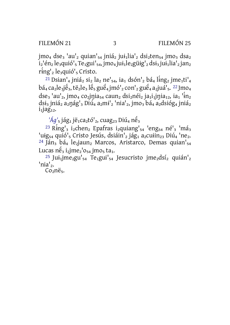$\mathbf{3}$ 

 $\mu$ <sub>1</sub> dse<sub>3</sub> 'au'<sub>2</sub> quian'<sub>54</sub> jniá<sub>2</sub> jui<sub>1</sub> lia'<sub>2</sub> dsi<sub>2</sub>ten<sub>54</sub> jmo<sub>3</sub> dsa<sub>2</sub>  $i_2$ 'én<sub>2</sub> le<sub>3</sub>quió'<sub>5</sub> Te<sub>1</sub>gui'<sub>54</sub>, jmo<sub>4</sub> jui<sub>1</sub> le<sub>2</sub>güig'<sub>2</sub> dsi<sub>3</sub> jui<sub>1</sub> lia'<sub>2</sub> jan<sub>2</sub> ring'<sub>2</sub> le<sub>3</sub>quió'<sub>5</sub> Cristo.

<sup>21</sup> Dsian'<sub>4</sub> jniá<sub>z</sub> si<sub>2</sub> la<sub>2</sub> ne'<sub>54</sub>, ia<sub>1</sub> dsón'<sub>2</sub> bá<sub>4</sub> ling<sub>2</sub> jme<sub>1</sub>ti'<sub>4</sub>  $b$ á<sub>4</sub> ca<sub>2</sub>le<sub>3</sub>jé<sub>3</sub>, të<sub>2</sub>le<sub>3</sub> lé<sub>5</sub> gué<sub>4</sub> jmó'<sub>2</sub> con'<sub>2</sub> gué<sub>4</sub> a<sub>2</sub>juá'<sub>5</sub>. <sup>22</sup> Jmo<sub>4</sub>  $\text{dse}_3$  'au'<sub>2</sub>, jmo<sub>4</sub> co<sub>2</sub>jnia<sub>54</sub> caun<sub>2</sub> dsi<sub>2</sub>néi<sub>2</sub> ja<sub>1</sub>i<sub>1</sub>jnia<sub>12</sub>, ia<sub>1</sub> 'in<sub>2</sub> dsi3 jniá2 a2nág'3 Diú4 a2mi'2 'nia'2, jmo3 bá4 a2dsióg4 jniá2  $i_1$ iag<sub>12</sub>.

 $'Aq_5$  jág<sub>1</sub> jë<sub>1</sub>ca<sub>2</sub>tó'<sub>2</sub>, cuag<sub>23</sub> Diú<sub>4</sub> në<sub>3</sub>

<sup>23</sup> Ring'<sub>3</sub> i<sub>2</sub>chen<sub>2</sub> Epafras i<sub>2</sub>quiang'<sub>54</sub> 'eng<sub>54</sub> né'<sub>3</sub> 'má<sub>3</sub> 'uig<sub>54</sub> quió'<sub>5</sub> Cristo Jesús, dsiáin'<sub>2</sub> jág<sub>1</sub> a<sub>2</sub>cuiin<sub>23</sub> Diú<sub>4</sub> 'ne<sub>2</sub>. <sup>24</sup> Ján<sub>3</sub> bá<sub>4</sub> le<sub>2</sub>jaun<sub>2</sub> Marcos, Aristarco, Demas quian'<sub>54</sub> Lucas  $n\acute{e}_3$  i<sub>2</sub>jme<sub>2</sub><sup>'</sup> $o_{54}$  jmo<sub>5</sub> ta<sub>1</sub>.

<sup>25</sup> Jui<sub>1</sub>jme<sub>2</sub>gu'<sub>54</sub> Te<sub>1</sub>gui'<sub>54</sub> Jesucristo jme<sub>2</sub>dsí<sub>2</sub> quián'<sub>2</sub> 'nia'<sub>2</sub>.

Co<sub>2</sub>në<sub>5</sub>.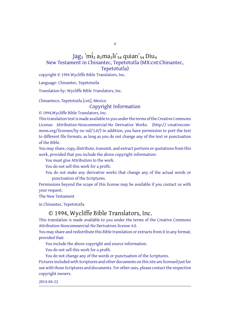4

## Jag1 'mi̇́<sub>2</sub> a<sub>2</sub>ma<sub>2</sub>li'<sub>54</sub> quian'<sub>54</sub> Diu<sub>4</sub> New Testament in Chinantec, Tepetotutla (MX:cnt:Chinantec, Tepetotutla)

copyright © 1994 Wycliffe Bible Translators, Inc.

Language: Chinantec, Tepetotutla

Translation by: Wycliffe Bible Translators, Inc.

Chinanteco, Tepetotutla [cnt], Mexico

Copyright Information

© 1994,Wycliffe Bible Translators, Inc.

This translation text is made available to you under the terms of the Creative Commons License: Attribution-Noncommercial-No Derivative Works. (http:// creativecommons.org/licenses/by-nc-nd/3.0/) In addition, you have permission to port the text to different file formats, as long as you do not change any of the text or punctuation of the Bible.

You may share, copy, distribute, transmit, and extract portions or quotations from this work, provided that you include the above copyright information:

You must give Attribution to the work.

You do not sell this work for a profit.

You do not make any derivative works that change any of the actual words or punctuation of the Scriptures.

Permissions beyond the scope of this license may be available if you contact us with your request.

The New Testament

in Chinantec, Tepetotutla

## © 1994, Wycliffe Bible Translators, Inc.

This translation is made available to you under the terms of the Creative Commons Attribution-Noncommercial-No Derivatives license 4.0.

You may share and redistribute this Bible translation or extracts from it in any format, provided that:

You include the above copyright and source information.

You do not sell this work for a profit.

You do not change any of the words or punctuation of the Scriptures.

Pictures included with Scriptures and other documents on this site are licensed just for use with those Scriptures and documents. For other uses, please contact the respective copyright owners.

2014-04-22